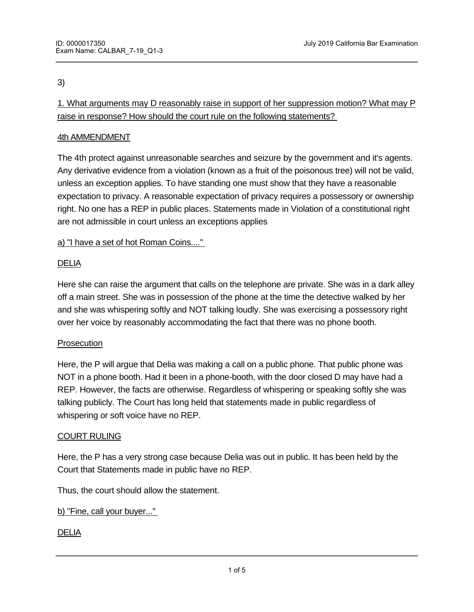# 3)

1. What arguments may D reasonably raise in support of her suppression motion? What may P raise in response? How should the court rule on the following statements?

# 4th AMMENDMENT

The 4th protect against unreasonable searches and seizure by the government and it's agents. Any derivative evidence from a violation (known as a fruit of the poisonous tree) will not be valid, unless an exception applies. To have standing one must show that they have a reasonable expectation to privacy. A reasonable expectation of privacy requires a possessory or ownership right. No one has a REP in public places. Statements made in Violation of a constitutional right are not admissible in court unless an exceptions applies

# a) "I have a set of hot Roman Coins...."

# DELIA

Here she can raise the argument that calls on the telephone are private. She was in a dark alley off a main street. She was in possession of the phone at the time the detective walked by her and she was whispering softly and NOT talking loudly. She was exercising a possessory right over her voice by reasonably accommodating the fact that there was no phone booth.

# **Prosecution**

Here, the P will argue that Delia was making a call on a public phone. That public phone was NOT in a phone booth. Had it been in a phone-booth, with the door closed D may have had a REP. However, the facts are otherwise. Regardless of whispering or speaking softly she was talking publicly. The Court has long held that statements made in public regardless of whispering or soft voice have no REP.

# COURT RULING

Here, the P has a very strong case because Delia was out in public. It has been held by the Court that Statements made in public have no REP.

Thus, the court should allow the statement.

b) "Fine, call your buyer..."

# DELIA

 $\mathcal{H}_{\text{H}}$  she can argue that the officer lied to Nell and used and used and used an electronic device to list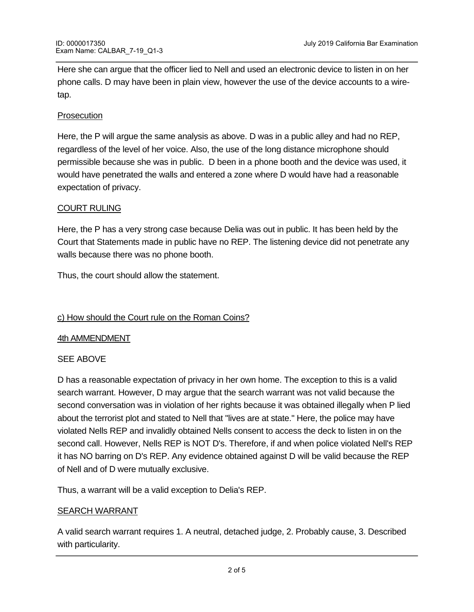Here she can argue that the officer lied to Nell and used an electronic device to listen in on her phone calls. D may have been in plain view, however the use of the device accounts to a wiretap.

## Prosecution

Here, the P will argue the same analysis as above. D was in a public alley and had no REP, regardless of the level of her voice. Also, the use of the long distance microphone should permissible because she was in public. D been in a phone booth and the device was used, it would have penetrated the walls and entered a zone where D would have had a reasonable expectation of privacy.

## COURT RULING

Here, the P has a very strong case because Delia was out in public. It has been held by the Court that Statements made in public have no REP. The listening device did not penetrate any walls because there was no phone booth.

Thus, the court should allow the statement.

# c) How should the Court rule on the Roman Coins?

## 4th AMMENDMENT

## SEE ABOVE

D has a reasonable expectation of privacy in her own home. The exception to this is a valid search warrant. However, D may argue that the search warrant was not valid because the second conversation was in violation of her rights because it was obtained illegally when P lied about the terrorist plot and stated to Nell that "lives are at state." Here, the police may have violated Nells REP and invalidly obtained Nells consent to access the deck to listen in on the second call. However, Nells REP is NOT D's. Therefore, if and when police violated Nell's REP it has NO barring on D's REP. Any evidence obtained against D will be valid because the REP of Nell and of D were mutually exclusive.

Thus, a warrant will be a valid exception to Delia's REP.

## SEARCH WARRANT

A valid search warrant requires 1. A neutral, detached judge, 2. Probably cause, 3. Described with particularity.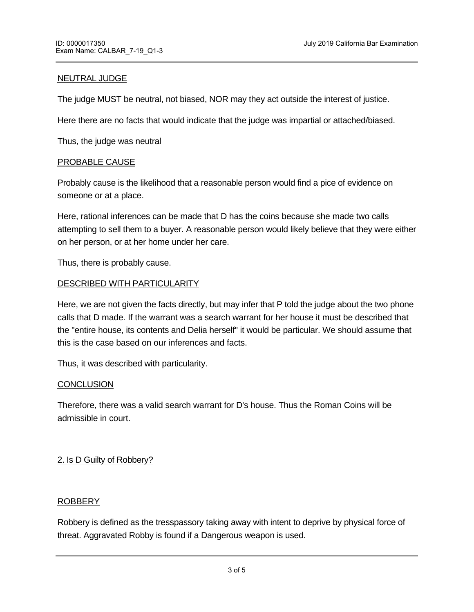## NEUTRAL JUDGE

The judge MUST be neutral, not biased, NOR may they act outside the interest of justice.

Here there are no facts that would indicate that the judge was impartial or attached/biased.

Thus, the judge was neutral

### PROBABLE CAUSE

Probably cause is the likelihood that a reasonable person would find a pice of evidence on someone or at a place.

Here, rational inferences can be made that D has the coins because she made two calls attempting to sell them to a buyer. A reasonable person would likely believe that they were either on her person, or at her home under her care.

Thus, there is probably cause.

### DESCRIBED WITH PARTICULARITY

Here, we are not given the facts directly, but may infer that P told the judge about the two phone calls that D made. If the warrant was a search warrant for her house it must be described that the "entire house, its contents and Delia herself" it would be particular. We should assume that this is the case based on our inferences and facts.

Thus, it was described with particularity.

#### **CONCLUSION**

Therefore, there was a valid search warrant for D's house. Thus the Roman Coins will be admissible in court.

## 2. Is D Guilty of Robbery?

TRESSPASSORY TAKING SERIES SERIES SERIES SERIES SERIES SERIES SERIES SERIES SERIES SERIES SERIES SERIES SERIES

## ROBBERY

Robbery is defined as the tresspassory taking away with intent to deprive by physical force of threat. Aggravated Robby is found if a Dangerous weapon is used.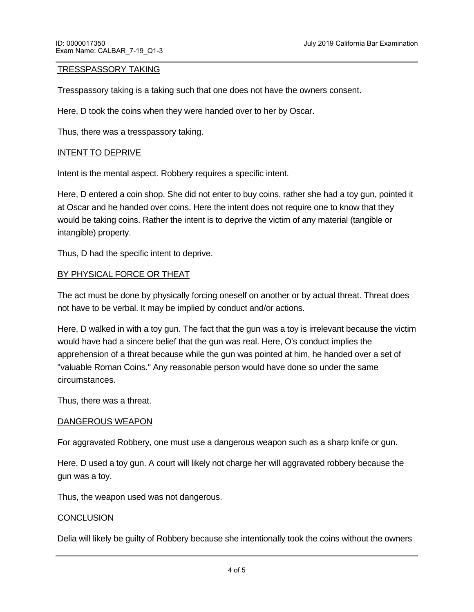### TRESSPASSORY TAKING

Tresspassory taking is a taking such that one does not have the owners consent.

Here, D took the coins when they were handed over to her by Oscar.

Thus, there was a tresspassory taking.

#### INTENT TO DEPRIVE

Intent is the mental aspect. Robbery requires a specific intent.

Here, D entered a coin shop. She did not enter to buy coins, rather she had a toy gun, pointed it at Oscar and he handed over coins. Here the intent does not require one to know that they would be taking coins. Rather the intent is to deprive the victim of any material (tangible or intangible) property.

Thus, D had the specific intent to deprive.

## BY PHYSICAL FORCE OR THEAT

The act must be done by physically forcing oneself on another or by actual threat. Threat does not have to be verbal. It may be implied by conduct and/or actions.

Here, D walked in with a toy gun. The fact that the gun was a toy is irrelevant because the victim would have had a sincere belief that the gun was real. Here, O's conduct implies the apprehension of a threat because while the gun was pointed at him, he handed over a set of "valuable Roman Coins." Any reasonable person would have done so under the same circumstances.

Thus, there was a threat.

#### DANGEROUS WEAPON

For aggravated Robbery, one must use a dangerous weapon such as a sharp knife or gun.

Here, D used a toy gun. A court will likely not charge her will aggravated robbery because the gun was a toy.

Thus, the weapon used was not dangerous.

## **CONCLUSION**

Delia will likely be guilty of Robbery because she intentionally took the coins without the owners

consent by threat. She will not be guilty of aggravated robbery because the weapon was not